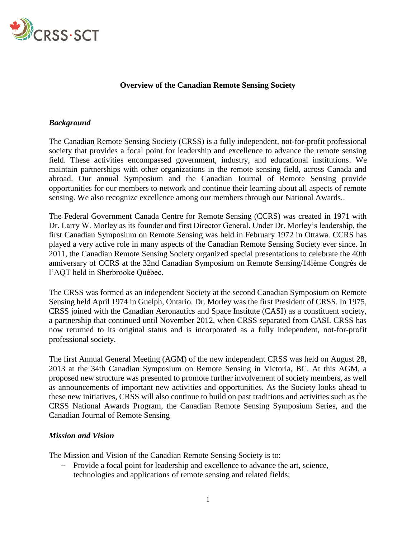

## **Overview of the Canadian Remote Sensing Society**

## *Background*

The Canadian Remote Sensing Society (CRSS) is a fully independent, not-for-profit professional society that provides a focal point for leadership and excellence to advance the remote sensing field. These activities encompassed government, industry, and educational institutions. We maintain partnerships with other organizations in the remote sensing field, across Canada and abroad. Our annual Symposium and the Canadian Journal of Remote Sensing provide opportunities for our members to network and continue their learning about all aspects of remote sensing. We also recognize excellence among our members through our National Awards..

The Federal Government Canada Centre for Remote Sensing (CCRS) was created in 1971 with Dr. Larry W. Morley as its founder and first Director General. Under Dr. Morley's leadership, the first Canadian Symposium on Remote Sensing was held in February 1972 in Ottawa. CCRS has played a very active role in many aspects of the Canadian Remote Sensing Society ever since. In 2011, the Canadian Remote Sensing Society organized special presentations to celebrate the 40th anniversary of CCRS at the 32nd Canadian Symposium on Remote Sensing/14ième Congrès de l'AQT held in Sherbrooke Québec.

The CRSS was formed as an independent Society at the second Canadian Symposium on Remote Sensing held April 1974 in Guelph, Ontario. Dr. Morley was the first President of CRSS. In 1975, CRSS joined with the Canadian Aeronautics and Space Institute (CASI) as a constituent society, a partnership that continued until November 2012, when CRSS separated from CASI. CRSS has now returned to its original status and is incorporated as a fully independent, not-for-profit professional society.

The first Annual General Meeting (AGM) of the new independent CRSS was held on August 28, 2013 at the 34th Canadian Symposium on Remote Sensing in Victoria, BC. At this AGM, a proposed new structure was presented to promote further involvement of society members, as well as announcements of important new activities and opportunities. As the Society looks ahead to these new initiatives, CRSS will also continue to build on past traditions and activities such as the CRSS National Awards Program, the Canadian Remote Sensing Symposium Series, and the Canadian Journal of Remote Sensing

## *Mission and Vision*

The Mission and Vision of the Canadian Remote Sensing Society is to:

- Provide a focal point for leadership and excellence to advance the art, science, technologies and applications of remote sensing and related fields;